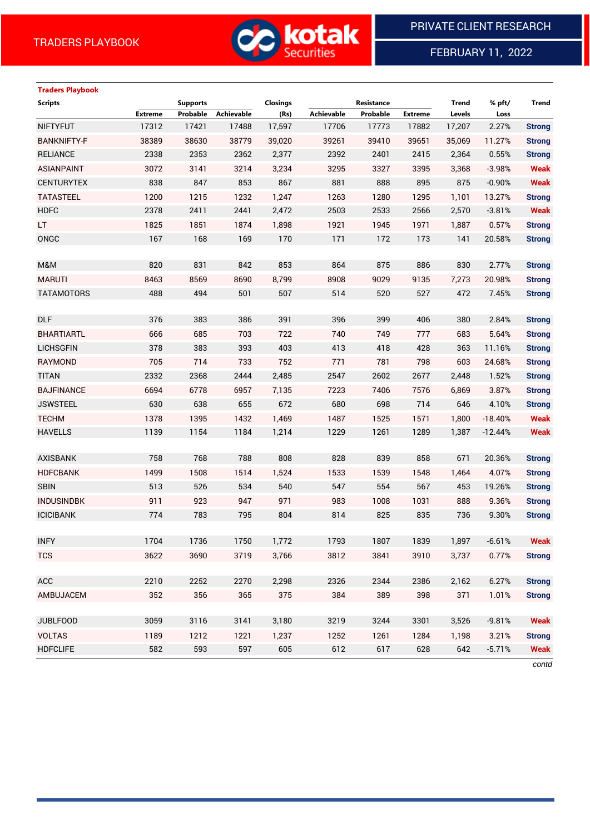

# FEBRUARY 11, 2022

# **Traders Playbook**

| <b>Extreme</b><br>Probable<br>Achievable<br>(Rs)<br>Achievable<br>Probable<br><b>Extreme</b><br>Levels<br>Loss<br>17312<br>17,597<br>2.27%<br><b>NIFTYFUT</b><br>17421<br>17488<br>17706<br>17773<br>17882<br>17,207<br><b>BANKNIFTY-F</b><br>38389<br>38630<br>38779<br>39410<br>39,020<br>39261<br>39651<br>35,069<br>11.27% |               |
|--------------------------------------------------------------------------------------------------------------------------------------------------------------------------------------------------------------------------------------------------------------------------------------------------------------------------------|---------------|
|                                                                                                                                                                                                                                                                                                                                |               |
|                                                                                                                                                                                                                                                                                                                                | <b>Strong</b> |
|                                                                                                                                                                                                                                                                                                                                | <b>Strong</b> |
| 2338<br>2353<br>2415<br><b>RELIANCE</b><br>2362<br>2,377<br>2392<br>2401<br>2,364<br>0.55%                                                                                                                                                                                                                                     | <b>Strong</b> |
| <b>ASIANPAINT</b><br>3072<br>3141<br>3214<br>3,234<br>3295<br>3327<br>3395<br>3,368<br>$-3.98%$                                                                                                                                                                                                                                | <b>Weak</b>   |
| 853<br><b>CENTURYTEX</b><br>838<br>847<br>867<br>881<br>888<br>895<br>875<br>$-0.90%$                                                                                                                                                                                                                                          | <b>Weak</b>   |
| 1200<br>1215<br>1232<br>1,247<br>1263<br>1280<br><b>TATASTEEL</b><br>1295<br>1,101<br>13.27%                                                                                                                                                                                                                                   | <b>Strong</b> |
| <b>HDFC</b><br>2378<br>2411<br>2441<br>2,472<br>2503<br>2533<br>2566<br>2,570<br>$-3.81%$                                                                                                                                                                                                                                      | <b>Weak</b>   |
| LT.<br>1825<br>1851<br>1874<br>1,898<br>1921<br>1945<br>1,887<br>1971<br>0.57%                                                                                                                                                                                                                                                 | <b>Strong</b> |
| ONGC<br>167<br>168<br>169<br>171<br>172<br>170<br>173<br>141<br>20.58%                                                                                                                                                                                                                                                         | <b>Strong</b> |
|                                                                                                                                                                                                                                                                                                                                |               |
| 820<br>831<br>842<br>853<br>864<br>875<br>886<br>830<br>2.77%<br>M&M                                                                                                                                                                                                                                                           | <b>Strong</b> |
| 8463<br><b>MARUTI</b><br>8569<br>8690<br>8,799<br>8908<br>9029<br>9135<br>7,273<br>20.98%                                                                                                                                                                                                                                      | <b>Strong</b> |
| 488<br>494<br>501<br>507<br>514<br>520<br><b>TATAMOTORS</b><br>527<br>472<br>7.45%                                                                                                                                                                                                                                             | <b>Strong</b> |
|                                                                                                                                                                                                                                                                                                                                |               |
| <b>DLF</b><br>376<br>383<br>386<br>391<br>396<br>399<br>406<br>380<br>2.84%                                                                                                                                                                                                                                                    | <b>Strong</b> |
| 740<br><b>BHARTIARTL</b><br>666<br>685<br>703<br>722<br>749<br>777<br>683<br>5.64%                                                                                                                                                                                                                                             | <b>Strong</b> |
| <b>LICHSGFIN</b><br>378<br>383<br>393<br>413<br>418<br>403<br>428<br>363<br>11.16%                                                                                                                                                                                                                                             | <b>Strong</b> |
| RAYMOND<br>705<br>714<br>733<br>752<br>771<br>781<br>798<br>603<br>24.68%                                                                                                                                                                                                                                                      | <b>Strong</b> |
| 2547<br>2332<br>2368<br>2444<br>2,485<br>2602<br>2677<br><b>TITAN</b><br>2,448<br>1.52%                                                                                                                                                                                                                                        | <b>Strong</b> |
| 6694<br>6778<br>6957<br>7,135<br>7223<br>7406<br><b>BAJFINANCE</b><br>7576<br>6,869<br>3.87%                                                                                                                                                                                                                                   | <b>Strong</b> |
| 630<br>680<br>698<br>638<br>655<br>672<br>714<br>646<br><b>JSWSTEEL</b><br>4.10%                                                                                                                                                                                                                                               | <b>Strong</b> |
| <b>TECHM</b><br>1378<br>1395<br>1432<br>1,469<br>1487<br>1525<br>1,800<br>$-18.40%$<br>1571                                                                                                                                                                                                                                    | <b>Weak</b>   |
| <b>HAVELLS</b><br>1139<br>1154<br>1184<br>1,214<br>1229<br>1261<br>1289<br>1,387<br>$-12.44%$                                                                                                                                                                                                                                  | <b>Weak</b>   |
|                                                                                                                                                                                                                                                                                                                                |               |
| 758<br>768<br>788<br>808<br>828<br>839<br>858<br>671<br>20.36%<br><b>AXISBANK</b>                                                                                                                                                                                                                                              | <b>Strong</b> |
| 1514<br><b>HDFCBANK</b><br>1499<br>1508<br>1,524<br>1533<br>1539<br>1548<br>1,464<br>4.07%                                                                                                                                                                                                                                     | <b>Strong</b> |
| <b>SBIN</b><br>513<br>526<br>534<br>540<br>547<br>554<br>567<br>453<br>19.26%                                                                                                                                                                                                                                                  | <b>Strong</b> |
| 911<br><b>INDUSINDBK</b><br>923<br>947<br>971<br>983<br>1008<br>1031<br>888<br>9.36%                                                                                                                                                                                                                                           | <b>Strong</b> |
| <b>ICICIBANK</b><br>774<br>783<br>795<br>804<br>814<br>825<br>835<br>736<br>9.30%                                                                                                                                                                                                                                              | <b>Strong</b> |
|                                                                                                                                                                                                                                                                                                                                |               |
| 1793<br>1807<br>1839<br>1,897<br><b>INFY</b><br>1704<br>1736<br>1750<br>1,772<br>$-6.61%$                                                                                                                                                                                                                                      | <b>Weak</b>   |
| 3,766<br>3812<br>3910<br><b>TCS</b><br>3622<br>3690<br>3719<br>3841<br>3,737<br>0.77%                                                                                                                                                                                                                                          | <b>Strong</b> |
|                                                                                                                                                                                                                                                                                                                                |               |
| ACC<br>2210<br>2252<br>2270<br>2,298<br>2326<br>2344<br>2386<br>6.27%<br>2,162                                                                                                                                                                                                                                                 | <b>Strong</b> |
| 365<br>AMBUJACEM<br>352<br>356<br>375<br>384<br>389<br>398<br>371<br>1.01%                                                                                                                                                                                                                                                     | <b>Strong</b> |
|                                                                                                                                                                                                                                                                                                                                |               |
| <b>JUBLFOOD</b><br>3059<br>3116<br>3141<br>3,180<br>3219<br>3244<br>3301<br>3,526<br>$-9.81%$                                                                                                                                                                                                                                  | <b>Weak</b>   |
| <b>VOLTAS</b><br>1189<br>1212<br>1221<br>1252<br>1261<br>1284<br>1,198<br>1,237<br>3.21%                                                                                                                                                                                                                                       | <b>Strong</b> |
| <b>HDFCLIFE</b><br>582<br>593<br>597<br>605<br>612<br>617<br>628<br>642<br>$-5.71%$                                                                                                                                                                                                                                            | <b>Weak</b>   |

*contd*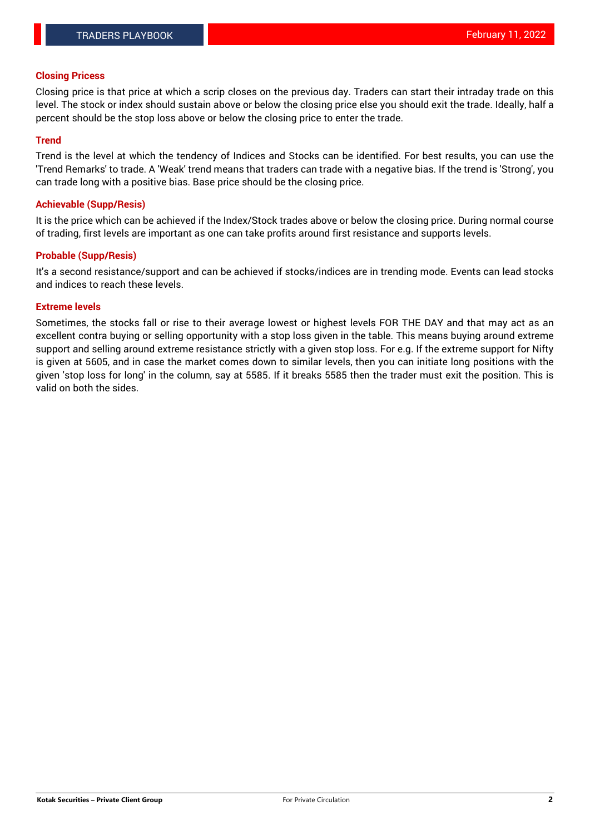### **Closing Pricess**

Closing price is that price at which a scrip closes on the previous day. Traders can start their intraday trade on this level. The stock or index should sustain above or below the closing price else you should exit the trade. Ideally, half a percent should be the stop loss above or below the closing price to enter the trade.

### **Trend**

Trend is the level at which the tendency of Indices and Stocks can be identified. For best results, you can use the 'Trend Remarks' to trade. A 'Weak' trend means that traders can trade with a negative bias. If the trend is 'Strong', you can trade long with a positive bias. Base price should be the closing price.

#### **Achievable (Supp/Resis)**

It is the price which can be achieved if the Index/Stock trades above or below the closing price. During normal course of trading, first levels are important as one can take profits around first resistance and supports levels.

### **Probable (Supp/Resis)**

It's a second resistance/support and can be achieved if stocks/indices are in trending mode. Events can lead stocks and indices to reach these levels.

#### **Extreme levels**

Sometimes, the stocks fall or rise to their average lowest or highest levels FOR THE DAY and that may act as an excellent contra buying or selling opportunity with a stop loss given in the table. This means buying around extreme support and selling around extreme resistance strictly with a given stop loss. For e.g. If the extreme support for Nifty is given at 5605, and in case the market comes down to similar levels, then you can initiate long positions with the given 'stop loss for long' in the column, say at 5585. If it breaks 5585 then the trader must exit the position. This is valid on both the sides.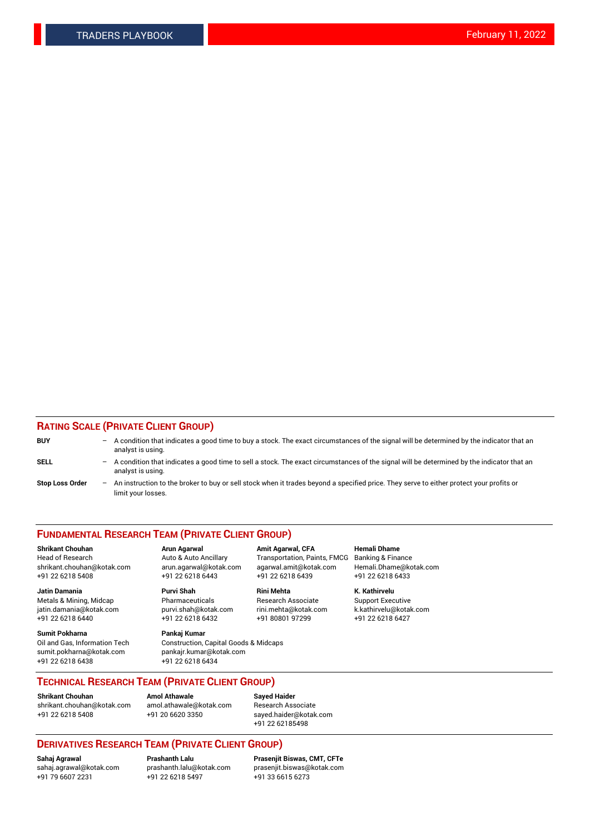### **RATING SCALE (PRIVATE CLIENT GROUP)**

| <b>BUY</b>             | $-$ | A condition that indicates a good time to buy a stock. The exact circumstances of the signal will be determined by the indicator that an<br>analyst is using.    |
|------------------------|-----|------------------------------------------------------------------------------------------------------------------------------------------------------------------|
| <b>SELL</b>            |     | - A condition that indicates a good time to sell a stock. The exact circumstances of the signal will be determined by the indicator that an<br>analyst is using. |
| <b>Stop Loss Order</b> | $-$ | An instruction to the broker to buy or sell stock when it trades beyond a specified price. They serve to either protect your profits or<br>limit your losses.    |

#### **FUNDAMENTAL RESEARCH TEAM (PRIVATE CLIENT GROUP)**

**Shrikant Chouhan Arun Agarwal Amit Agarwal, CFA Hemali Dhame** Head of Research Auto & Auto Ancillary Transportation, Paints, FMCG Banking & Finance shrikant.chouhan@kotak.com arun.agarwal@kotak.com agarwal.amit@kotak.com Hemali.Dhame@kotak.com

**Jatin Damania Purvi Shah Rini Mehta K. Kathirvelu** Metals & Mining, Midcap **Pharmaceuticals** Research Associate Support Executive jatin.damania@kotak.com [purvi.shah@kotak.com](mailto:purvi.shah@kotak.com) rini.mehta@kotak.com [k.kathirvelu@kotak.com](mailto:k.kathirvelu@kotak.com)  $+91$  22 6218 6440  $+91$  22 6218 6432

**Sumit Pokharna Pankaj Kumar** sumit.pokharna@kotak.com pankajr.kumar@kotak.com +91 22 6218 6438 +91 22 6218 6434

Oil and Gas, Information Tech Construction, Capital Goods & Midcaps

+91 22 6218 5408 +91 22 6218 6443 +91 22 6218 6439 +91 22 6218 6433

**TECHNICAL RESEARCH TEAM (PRIVATE CLIENT GROUP)**

[shrikant.chouhan@kotak.com](mailto:shrikant.chouhan@kotak.com) [amol.athawale@kotak.com](mailto:amol.athawale@kotak.com) Research Associate +91 22 6218 5408 +91 20 6620 3350 [sayed.haider@kotak.com](mailto:sayed.haider@kotak.com)

**Shrikant Chouhan Amol Athawale Sayed Haider**

+91 22 62185498

# **DERIVATIVES RESEARCH TEAM (PRIVATE CLIENT GROUP)**

 $+91$  22 6218 5497

**Sahaj Agrawal Prashanth Lalu Prasenjit Biswas, CMT, CFTe** [sahaj.agrawal@kotak.com](mailto:sahaj.agrawal@kotak.com) [prashanth.lalu@kotak.com](mailto:prashanth.lalu@kotak.com) [prasenjit.biswas@kotak.com](mailto:prasenjit.biswas@kotak.com)